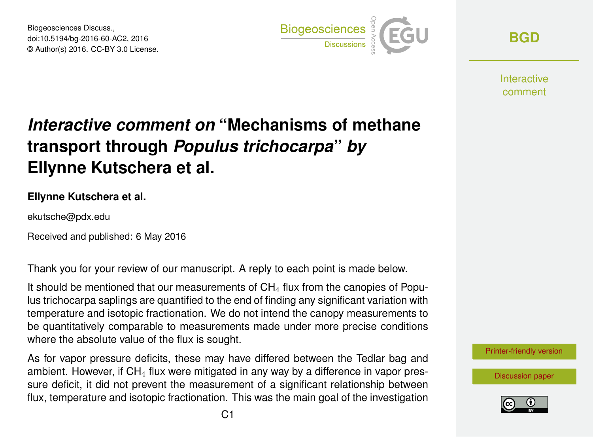Biogeosciences Discuss., doi:10.5194/bg-2016-60-AC2, 2016 © Author(s) 2016. CC-BY 3.0 License.



**[BGD](http://www.biogeosciences-discuss.net/)**

**Interactive** comment

## *Interactive comment on* **"Mechanisms of methane transport through** *Populus trichocarpa***"** *by* **Ellynne Kutschera et al.**

## **Ellynne Kutschera et al.**

ekutsche@pdx.edu

Received and published: 6 May 2016

Thank you for your review of our manuscript. A reply to each point is made below.

It should be mentioned that our measurements of  $CH<sub>4</sub>$  flux from the canopies of Populus trichocarpa saplings are quantified to the end of finding any significant variation with temperature and isotopic fractionation. We do not intend the canopy measurements to be quantitatively comparable to measurements made under more precise conditions where the absolute value of the flux is sought.

As for vapor pressure deficits, these may have differed between the Tedlar bag and ambient. However, if  $CH<sub>4</sub>$  flux were mitigated in any way by a difference in vapor pressure deficit, it did not prevent the measurement of a significant relationship between flux, temperature and isotopic fractionation. This was the main goal of the investigation



[Discussion paper](http://www.biogeosciences-discuss.net/bg-2016-60)